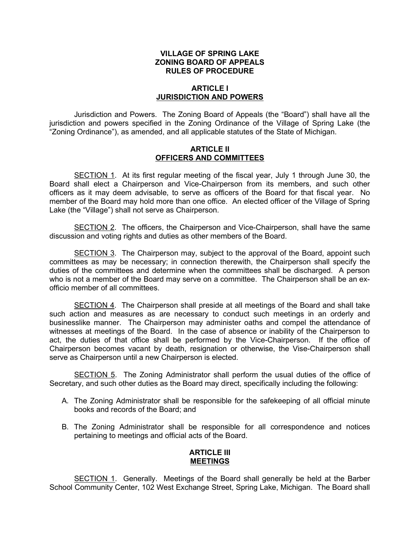# VILLAGE OF SPRING LAKE ZONING BOARD OF APPEALS RULES OF PROCEDURE

# ARTICLE I JURISDICTION AND POWERS

Jurisdiction and Powers. The Zoning Board of Appeals (the "Board") shall have all the jurisdiction and powers specified in the Zoning Ordinance of the Village of Spring Lake (the "Zoning Ordinance"), as amended, and all applicable statutes of the State of Michigan.

### ARTICLE II OFFICERS AND COMMITTEES

SECTION 1. At its first regular meeting of the fiscal year, July 1 through June 30, the Board shall elect a Chairperson and Vice-Chairperson from its members, and such other officers as it may deem advisable, to serve as officers of the Board for that fiscal year. No member of the Board may hold more than one office. An elected officer of the Village of Spring Lake (the "Village") shall not serve as Chairperson.

SECTION 2. The officers, the Chairperson and Vice-Chairperson, shall have the same discussion and voting rights and duties as other members of the Board.

SECTION 3. The Chairperson may, subject to the approval of the Board, appoint such committees as may be necessary; in connection therewith, the Chairperson shall specify the duties of the committees and determine when the committees shall be discharged. A person who is not a member of the Board may serve on a committee. The Chairperson shall be an exofficio member of all committees.

SECTION 4. The Chairperson shall preside at all meetings of the Board and shall take such action and measures as are necessary to conduct such meetings in an orderly and businesslike manner. The Chairperson may administer oaths and compel the attendance of witnesses at meetings of the Board. In the case of absence or inability of the Chairperson to act, the duties of that office shall be performed by the Vice-Chairperson. If the office of Chairperson becomes vacant by death, resignation or otherwise, the Vise-Chairperson shall serve as Chairperson until a new Chairperson is elected.

SECTION 5. The Zoning Administrator shall perform the usual duties of the office of Secretary, and such other duties as the Board may direct, specifically including the following:

- A. The Zoning Administrator shall be responsible for the safekeeping of all official minute books and records of the Board; and
- B. The Zoning Administrator shall be responsible for all correspondence and notices pertaining to meetings and official acts of the Board.

### ARTICLE III MEETINGS

SECTION 1. Generally. Meetings of the Board shall generally be held at the Barber School Community Center, 102 West Exchange Street, Spring Lake, Michigan. The Board shall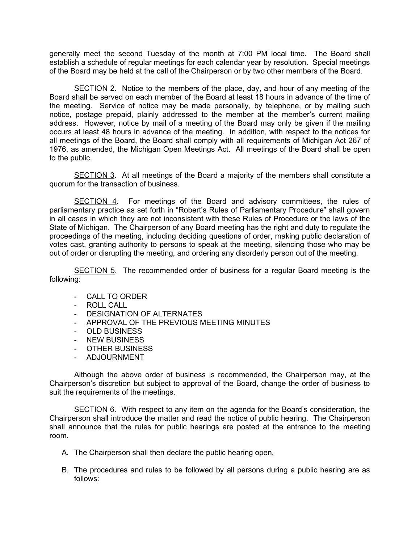generally meet the second Tuesday of the month at 7:00 PM local time. The Board shall establish a schedule of regular meetings for each calendar year by resolution. Special meetings of the Board may be held at the call of the Chairperson or by two other members of the Board.

SECTION 2. Notice to the members of the place, day, and hour of any meeting of the Board shall be served on each member of the Board at least 18 hours in advance of the time of the meeting. Service of notice may be made personally, by telephone, or by mailing such notice, postage prepaid, plainly addressed to the member at the member's current mailing address. However, notice by mail of a meeting of the Board may only be given if the mailing occurs at least 48 hours in advance of the meeting. In addition, with respect to the notices for all meetings of the Board, the Board shall comply with all requirements of Michigan Act 267 of 1976, as amended, the Michigan Open Meetings Act. All meetings of the Board shall be open to the public.

SECTION 3. At all meetings of the Board a majority of the members shall constitute a quorum for the transaction of business.

SECTION 4. For meetings of the Board and advisory committees, the rules of parliamentary practice as set forth in "Robert's Rules of Parliamentary Procedure" shall govern in all cases in which they are not inconsistent with these Rules of Procedure or the laws of the State of Michigan. The Chairperson of any Board meeting has the right and duty to regulate the proceedings of the meeting, including deciding questions of order, making public declaration of votes cast, granting authority to persons to speak at the meeting, silencing those who may be out of order or disrupting the meeting, and ordering any disorderly person out of the meeting.

SECTION 5. The recommended order of business for a regular Board meeting is the following:

- CALL TO ORDER
- ROLL CALL
- DESIGNATION OF ALTERNATES
- APPROVAL OF THE PREVIOUS MEETING MINUTES
- OLD BUSINESS
- NEW BUSINESS
- OTHER BUSINESS
- ADJOURNMENT

Although the above order of business is recommended, the Chairperson may, at the Chairperson's discretion but subject to approval of the Board, change the order of business to suit the requirements of the meetings.

SECTION 6. With respect to any item on the agenda for the Board's consideration, the Chairperson shall introduce the matter and read the notice of public hearing. The Chairperson shall announce that the rules for public hearings are posted at the entrance to the meeting room.

- A. The Chairperson shall then declare the public hearing open.
- B. The procedures and rules to be followed by all persons during a public hearing are as follows: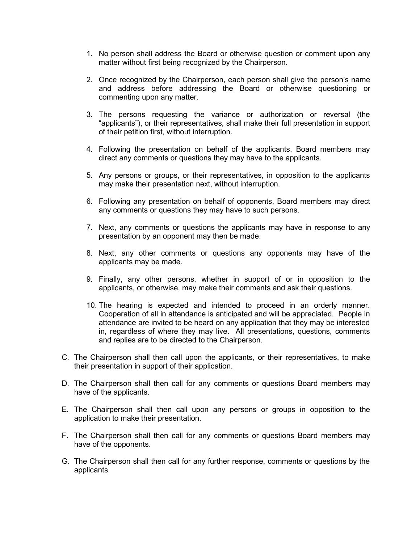- 1. No person shall address the Board or otherwise question or comment upon any matter without first being recognized by the Chairperson.
- 2. Once recognized by the Chairperson, each person shall give the person's name and address before addressing the Board or otherwise questioning or commenting upon any matter.
- 3. The persons requesting the variance or authorization or reversal (the "applicants"), or their representatives, shall make their full presentation in support of their petition first, without interruption.
- 4. Following the presentation on behalf of the applicants, Board members may direct any comments or questions they may have to the applicants.
- 5. Any persons or groups, or their representatives, in opposition to the applicants may make their presentation next, without interruption.
- 6. Following any presentation on behalf of opponents, Board members may direct any comments or questions they may have to such persons.
- 7. Next, any comments or questions the applicants may have in response to any presentation by an opponent may then be made.
- 8. Next, any other comments or questions any opponents may have of the applicants may be made.
- 9. Finally, any other persons, whether in support of or in opposition to the applicants, or otherwise, may make their comments and ask their questions.
- 10. The hearing is expected and intended to proceed in an orderly manner. Cooperation of all in attendance is anticipated and will be appreciated. People in attendance are invited to be heard on any application that they may be interested in, regardless of where they may live. All presentations, questions, comments and replies are to be directed to the Chairperson.
- C. The Chairperson shall then call upon the applicants, or their representatives, to make their presentation in support of their application.
- D. The Chairperson shall then call for any comments or questions Board members may have of the applicants.
- E. The Chairperson shall then call upon any persons or groups in opposition to the application to make their presentation.
- F. The Chairperson shall then call for any comments or questions Board members may have of the opponents.
- G. The Chairperson shall then call for any further response, comments or questions by the applicants.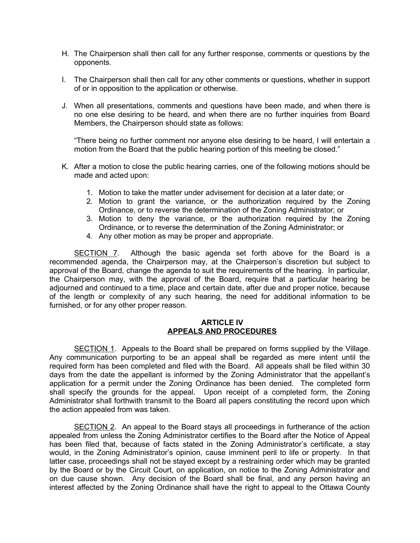- H. The Chairperson shall then call for any further response, comments or questions by the opponents.
- I. The Chairperson shall then call for any other comments or questions, whether in support of or in opposition to the application or otherwise.
- J. When all presentations, comments and questions have been made, and when there is no one else desiring to be heard, and when there are no further inquiries from Board Members, the Chairperson should state as follows:

"There being no further comment nor anyone else desiring to be heard, I will entertain a motion from the Board that the public hearing portion of this meeting be closed."

- K. After a motion to close the public hearing carries, one of the following motions should be made and acted upon:
	- 1. Motion to take the matter under advisement for decision at a later date; or
	- 2. Motion to grant the variance, or the authorization required by the Zoning Ordinance, or to reverse the determination of the Zoning Administrator; or
	- 3. Motion to deny the variance, or the authorization required by the Zoning Ordinance, or to reverse the determination of the Zoning Administrator; or
	- 4. Any other motion as may be proper and appropriate.

SECTION 7. Although the basic agenda set forth above for the Board is a recommended agenda, the Chairperson may, at the Chairperson's discretion but subject to approval of the Board, change the agenda to suit the requirements of the hearing. In particular, the Chairperson may, with the approval of the Board, require that a particular hearing be adjourned and continued to a time, place and certain date, after due and proper notice, because of the length or complexity of any such hearing, the need for additional information to be furnished, or for any other proper reason.

#### ARTICLE IV APPEALS AND PROCEDURES

SECTION 1. Appeals to the Board shall be prepared on forms supplied by the Village. Any communication purporting to be an appeal shall be regarded as mere intent until the required form has been completed and filed with the Board. All appeals shall be filed within 30 days from the date the appellant is informed by the Zoning Administrator that the appellant's application for a permit under the Zoning Ordinance has been denied. The completed form shall specify the grounds for the appeal. Upon receipt of a completed form, the Zoning Administrator shall forthwith transmit to the Board all papers constituting the record upon which the action appealed from was taken.

SECTION 2. An appeal to the Board stays all proceedings in furtherance of the action appealed from unless the Zoning Administrator certifies to the Board after the Notice of Appeal has been filed that, because of facts stated in the Zoning Administrator's certificate, a stay would, in the Zoning Administrator's opinion, cause imminent peril to life or property. In that latter case, proceedings shall not be stayed except by a restraining order which may be granted by the Board or by the Circuit Court, on application, on notice to the Zoning Administrator and on due cause shown. Any decision of the Board shall be final, and any person having an interest affected by the Zoning Ordinance shall have the right to appeal to the Ottawa County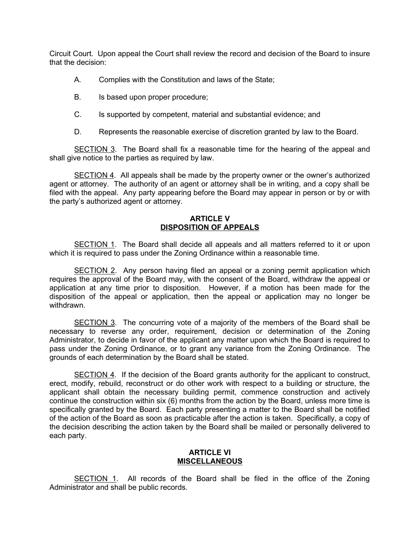Circuit Court. Upon appeal the Court shall review the record and decision of the Board to insure that the decision:

- A. Complies with the Constitution and laws of the State;
- B. Is based upon proper procedure;
- C. Is supported by competent, material and substantial evidence; and
- D. Represents the reasonable exercise of discretion granted by law to the Board.

SECTION 3. The Board shall fix a reasonable time for the hearing of the appeal and shall give notice to the parties as required by law.

SECTION 4. All appeals shall be made by the property owner or the owner's authorized agent or attorney. The authority of an agent or attorney shall be in writing, and a copy shall be filed with the appeal. Any party appearing before the Board may appear in person or by or with the party's authorized agent or attorney.

### ARTICLE V DISPOSITION OF APPEALS

SECTION 1. The Board shall decide all appeals and all matters referred to it or upon which it is required to pass under the Zoning Ordinance within a reasonable time.

SECTION 2. Any person having filed an appeal or a zoning permit application which requires the approval of the Board may, with the consent of the Board, withdraw the appeal or application at any time prior to disposition. However, if a motion has been made for the disposition of the appeal or application, then the appeal or application may no longer be withdrawn.

SECTION 3. The concurring vote of a majority of the members of the Board shall be necessary to reverse any order, requirement, decision or determination of the Zoning Administrator, to decide in favor of the applicant any matter upon which the Board is required to pass under the Zoning Ordinance, or to grant any variance from the Zoning Ordinance. The grounds of each determination by the Board shall be stated.

SECTION 4. If the decision of the Board grants authority for the applicant to construct, erect, modify, rebuild, reconstruct or do other work with respect to a building or structure, the applicant shall obtain the necessary building permit, commence construction and actively continue the construction within six (6) months from the action by the Board, unless more time is specifically granted by the Board. Each party presenting a matter to the Board shall be notified of the action of the Board as soon as practicable after the action is taken. Specifically, a copy of the decision describing the action taken by the Board shall be mailed or personally delivered to each party.

#### ARTICLE VI **MISCELLANEOUS**

SECTION 1. All records of the Board shall be filed in the office of the Zoning Administrator and shall be public records.